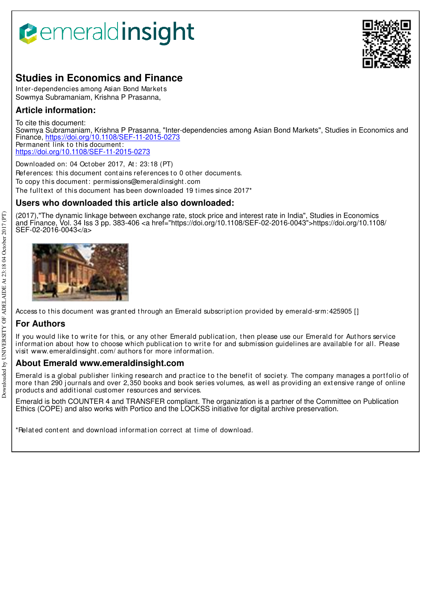# **B**emeraldinsight



# **Studies in Economics and Finance**

Int er-dependencies among Asian Bond Market s Sowmya Subramaniam, Krishna P Prasanna,

# **Article information:**

To cite this document: Sowmya Subramaniam, Krishna P Prasanna, "Inter-dependencies among Asian Bond Markets", Studies in Economics and Finance, https://doi.org/10.1108/SEF-11-2015-0273 Permanent link to this document: https://doi.org/10.1108/SEF-11-2015-0273

Downloaded on: 04 Oct ober 2017, At : 23:18 (PT) References: this document contains references to 0 other documents. To copy t his document : permissions@emeraldinsight .com The fulltext of this document has been downloaded 19 times since 2017<sup>\*</sup>

# **Users who downloaded this article also downloaded:**

(2017),"The dynamic linkage between exchange rate, stock price and interest rate in India", Studies in Economics and Finance, Vol. 34 Iss 3 pp. 383-406 <a href="https://doi.org/10.1108/SEF-02-2016-0043">https://doi.org/10.1108/ SEF-02-2016-0043</a>



Access to this document was granted through an Emerald subscription provided by emerald-srm: 425905 []

# **For Authors**

If you would like to write for this, or any other Emerald publication, then please use our Emerald for Authors service information about how to choose which publication to write for and submission guidelines are available for all. Please visit www.emeraldinsight .com/ aut hors for more informat ion.

# **About Emerald www.emeraldinsight.com**

Emerald is a global publisher linking research and practice to the benefit of society. The company manages a portfolio of more than 290 journals and over 2,350 books and book series volumes, as well as providing an extensive range of online product s and addit ional cust omer resources and services.

Emerald is both COUNTER 4 and TRANSFER compliant. The organization is a partner of the Committee on Publication Ethics (COPE) and also works with Portico and the LOCKSS initiative for digital archive preservation.

\*Related content and download information correct at time of download.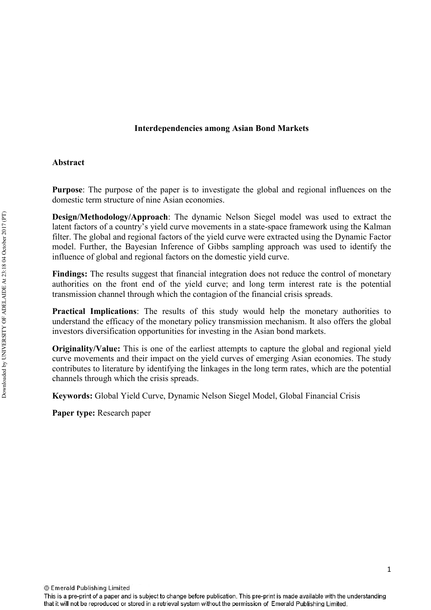# **Interdependencies among Asian Bond Markets**

## **Abstract**

**Purpose**: The purpose of the paper is to investigate the global and regional influences on the domestic term structure of nine Asian economies.

**Design/Methodology/Approach**: The dynamic Nelson Siegel model was used to extract the latent factors of a country's yield curve movements in a state-space framework using the Kalman filter. The global and regional factors of the yield curve were extracted using the Dynamic Factor model. Further, the Bayesian Inference of Gibbs sampling approach was used to identify the influence of global and regional factors on the domestic yield curve.

**Findings:** The results suggest that financial integration does not reduce the control of monetary authorities on the front end of the yield curve; and long term interest rate is the potential transmission channel through which the contagion of the financial crisis spreads.

**Practical Implications**: The results of this study would help the monetary authorities to understand the efficacy of the monetary policy transmission mechanism. It also offers the global investors diversification opportunities for investing in the Asian bond markets.

**Originality/Value:** This is one of the earliest attempts to capture the global and regional yield curve movements and their impact on the yield curves of emerging Asian economies. The study contributes to literature by identifying the linkages in the long term rates, which are the potential channels through which the crisis spreads.

**Keywords:** Global Yield Curve, Dynamic Nelson Siegel Model, Global Financial Crisis

**Paper type:** Research paper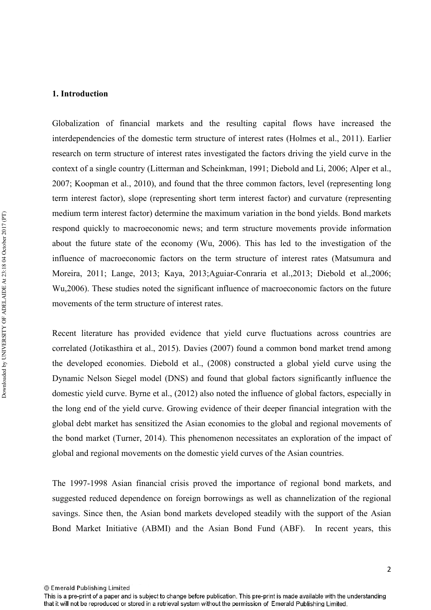# **1. Introduction**

Globalization of financial markets and the resulting capital flows have increased the interdependencies of the domestic term structure of interest rates (Holmes et al., 2011). Earlier research on term structure of interest rates investigated the factors driving the yield curve in the context of a single country (Litterman and Scheinkman, 1991; Diebold and Li, 2006; Alper et al., 2007; Koopman et al., 2010), and found that the three common factors, level (representing long term interest factor), slope (representing short term interest factor) and curvature (representing medium term interest factor) determine the maximum variation in the bond yields. Bond markets respond quickly to macroeconomic news; and term structure movements provide information about the future state of the economy (Wu, 2006). This has led to the investigation of the influence of macroeconomic factors on the term structure of interest rates (Matsumura and Moreira, 2011; Lange, 2013; Kaya, 2013; Aguiar-Conraria et al., 2013; Diebold et al., 2006; Wu,2006). These studies noted the significant influence of macroeconomic factors on the future movements of the term structure of interest rates.

Recent literature has provided evidence that yield curve fluctuations across countries are correlated (Jotikasthira et al., 2015). Davies (2007) found a common bond market trend among the developed economies. Diebold et al., (2008) constructed a global yield curve using the Dynamic Nelson Siegel model (DNS) and found that global factors significantly influence the domestic yield curve. Byrne et al., (2012) also noted the influence of global factors, especially in the long end of the yield curve. Growing evidence of their deeper financial integration with the global debt market has sensitized the Asian economies to the global and regional movements of the bond market (Turner, 2014). This phenomenon necessitates an exploration of the impact of global and regional movements on the domestic yield curves of the Asian countries.

The 1997-1998 Asian financial crisis proved the importance of regional bond markets, and suggested reduced dependence on foreign borrowings as well as channelization of the regional savings. Since then, the Asian bond markets developed steadily with the support of the Asian Bond Market Initiative (ABMI) and the Asian Bond Fund (ABF). In recent years, this

This is a pre-print of a paper and is subject to change before publication. This pre-print is made available with the understanding that it will not be reproduced or stored in a retrieval system without the permission of Emerald Publishing Limited.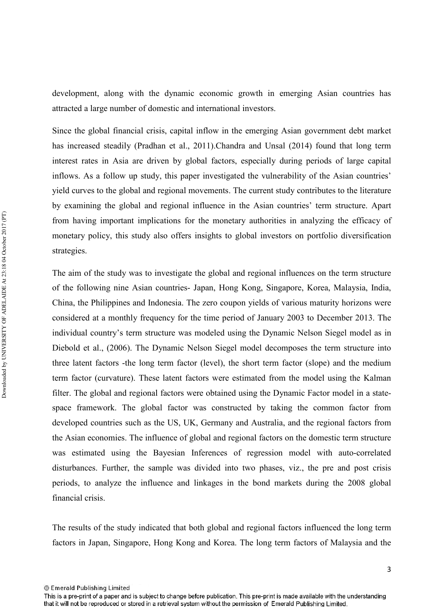development, along with the dynamic economic growth in emerging Asian countries has attracted a large number of domestic and international investors.

Since the global financial crisis, capital inflow in the emerging Asian government debt market has increased steadily (Pradhan et al., 2011).Chandra and Unsal (2014) found that long term interest rates in Asia are driven by global factors, especially during periods of large capital inflows. As a follow up study, this paper investigated the vulnerability of the Asian countries' yield curves to the global and regional movements. The current study contributes to the literature by examining the global and regional influence in the Asian countries' term structure. Apart from having important implications for the monetary authorities in analyzing the efficacy of monetary policy, this study also offers insights to global investors on portfolio diversification strategies.

The aim of the study was to investigate the global and regional influences on the term structure of the following nine Asian countries Japan, Hong Kong, Singapore, Korea, Malaysia, India, China, the Philippines and Indonesia. The zero coupon yields of various maturity horizons were considered at a monthly frequency for the time period of January 2003 to December 2013. The individual country's term structure was modeled using the Dynamic Nelson Siegel model as in Diebold et al., (2006). The Dynamic Nelson Siegel model decomposes the term structure into three latent factors -the long term factor (level), the short term factor (slope) and the medium term factor (curvature). These latent factors were estimated from the model using the Kalman filter. The global and regional factors were obtained using the Dynamic Factor model in a state space framework. The global factor was constructed by taking the common factor from developed countries such as the US, UK, Germany and Australia, and the regional factors from the Asian economies. The influence of global and regional factors on the domestic term structure was estimated using the Bayesian Inferences of regression model with auto-correlated disturbances. Further, the sample was divided into two phases, viz., the pre and post crisis periods, to analyze the influence and linkages in the bond markets during the 2008 global financial crisis.

The results of the study indicated that both global and regional factors influenced the long term factors in Japan, Singapore, Hong Kong and Korea. The long term factors of Malaysia and the

This is a pre-print of a paper and is subject to change before publication. This pre-print is made available with the understanding that it will not be reproduced or stored in a retrieval system without the permission of Emerald Publishing Limited.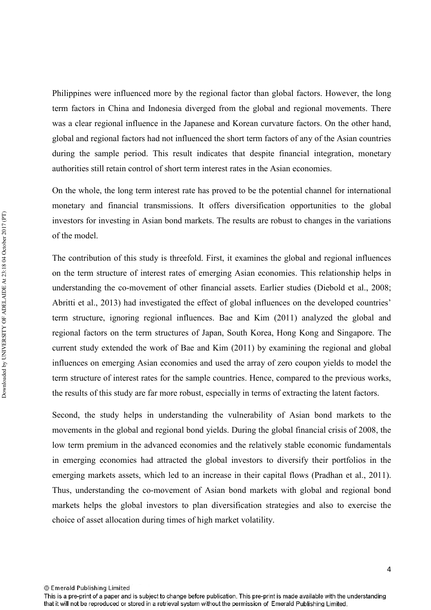Philippines were influenced more by the regional factor than global factors. However, the long term factors in China and Indonesia diverged from the global and regional movements. There was a clear regional influence in the Japanese and Korean curvature factors. On the other hand, global and regional factors had not influenced the short term factors of any of the Asian countries during the sample period. This result indicates that despite financial integration, monetary authorities still retain control of short term interest rates in the Asian economies.

On the whole, the long term interest rate has proved to be the potential channel for international monetary and financial transmissions. It offers diversification opportunities to the global investors for investing in Asian bond markets. The results are robust to changes in the variations of the model.

The contribution of this study is threefold. First, it examines the global and regional influences on the term structure of interest rates of emerging Asian economies. This relationship helps in understanding the co-movement of other financial assets. Earlier studies (Diebold et al., 2008; Abritti et al., 2013) had investigated the effect of global influences on the developed countries' term structure, ignoring regional influences. Bae and Kim (2011) analyzed the global and regional factors on the term structures of Japan, South Korea, Hong Kong and Singapore. The current study extended the work of Bae and Kim (2011) by examining the regional and global influences on emerging Asian economies and used the array of zero coupon yields to model the term structure of interest rates for the sample countries. Hence, compared to the previous works, the results of this study are far more robust, especially in terms of extracting the latent factors.

Second, the study helps in understanding the vulnerability of Asian bond markets to the movements in the global and regional bond yields. During the global financial crisis of 2008, the low term premium in the advanced economies and the relatively stable economic fundamentals in emerging economies had attracted the global investors to diversify their portfolios in the emerging markets assets, which led to an increase in their capital flows (Pradhan et al., 2011). Thus, understanding the co-movement of Asian bond markets with global and regional bond markets helps the global investors to plan diversification strategies and also to exercise the choice of asset allocation during times of high market volatility.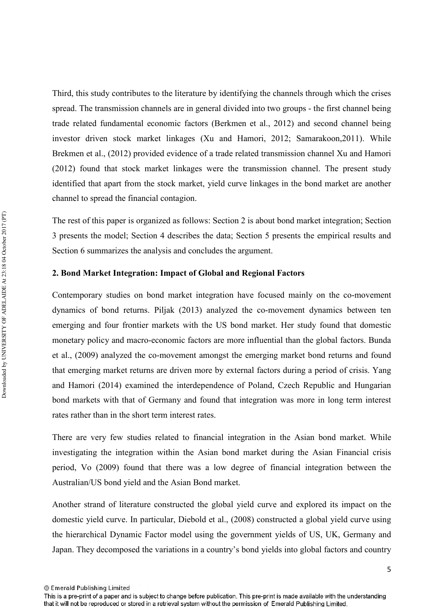Third, this study contributes to the literature by identifying the channels through which the crises spread. The transmission channels are in general divided into two groups - the first channel being trade related fundamental economic factors (Berkmen et al., 2012) and second channel being investor driven stock market linkages (Xu and Hamori, 2012; Samarakoon,2011). While Brekmen et al., (2012) provided evidence of a trade related transmission channel Xu and Hamori (2012) found that stock market linkages were the transmission channel. The present study identified that apart from the stock market, yield curve linkages in the bond market are another channel to spread the financial contagion.

The rest of this paper is organized as follows: Section 2 is about bond market integration; Section 3 presents the model; Section 4 describes the data; Section 5 presents the empirical results and Section 6 summarizes the analysis and concludes the argument.

# **2. Bond Market Integration: Impact of Global and Regional Factors**

Contemporary studies on bond market integration have focused mainly on the co-movement dynamics of bond returns. Piljak (2013) analyzed the co-movement dynamics between ten emerging and four frontier markets with the US bond market. Her study found that domestic monetary policy and macro-economic factors are more influential than the global factors. Bunda et al., (2009) analyzed the co-movement amongst the emerging market bond returns and found that emerging market returns are driven more by external factors during a period of crisis. Yang and Hamori (2014) examined the interdependence of Poland, Czech Republic and Hungarian bond markets with that of Germany and found that integration was more in long term interest rates rather than in the short term interest rates.

There are very few studies related to financial integration in the Asian bond market. While investigating the integration within the Asian bond market during the Asian Financial crisis period, Vo (2009) found that there was a low degree of financial integration between the Australian/US bond yield and the Asian Bond market.

Another strand of literature constructed the global yield curve and explored its impact on the domestic yield curve. In particular, Diebold et al., (2008) constructed a global yield curve using the hierarchical Dynamic Factor model using the government yields of US, UK, Germany and Japan. They decomposed the variations in a country's bond yields into global factors and country

This is a pre-print of a paper and is subject to change before publication. This pre-print is made available with the understanding that it will not be reproduced or stored in a retrieval system without the permission of Emerald Publishing Limited.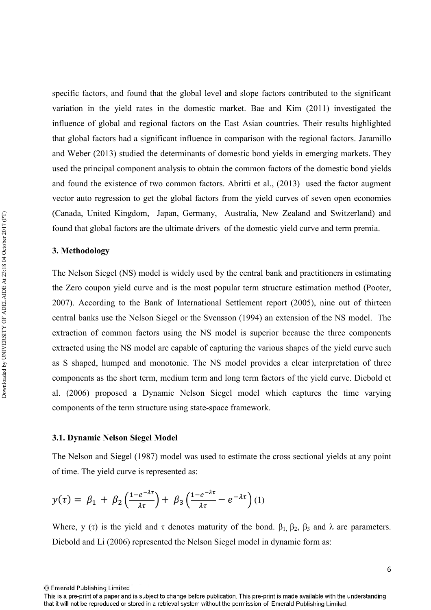specific factors, and found that the global level and slope factors contributed to the significant variation in the yield rates in the domestic market. Bae and Kim (2011) investigated the influence of global and regional factors on the East Asian countries. Their results highlighted that global factors had a significant influence in comparison with the regional factors. Jaramillo and Weber (2013) studied the determinants of domestic bond yields in emerging markets. They used the principal component analysis to obtain the common factors of the domestic bond yields and found the existence of two common factors. Abritti et al., (2013) used the factor augment vector auto regression to get the global factors from the yield curves of seven open economies (Canada, United Kingdom, Japan, Germany, Australia, New Zealand and Switzerland) and found that global factors are the ultimate drivers of the domestic yield curve and term premia.

# **3. Methodology**

The Nelson Siegel (NS) model is widely used by the central bank and practitioners in estimating the Zero coupon yield curve and is the most popular term structure estimation method (Pooter, 2007). According to the Bank of International Settlement report (2005), nine out of thirteen central banks use the Nelson Siegel or the Svensson (1994) an extension of the NS model. The extraction of common factors using the NS model is superior because the three components extracted using the NS model are capable of capturing the various shapes of the yield curve such as S shaped, humped and monotonic. The NS model provides a clear interpretation of three components as the short term, medium term and long term factors of the yield curve. Diebold et al. (2006) proposed a Dynamic Nelson Siegel model which captures the time varying components of the term structure using state-space framework.

# **3.1. Dynamic Nelson Siegel Model**

The Nelson and Siegel (1987) model was used to estimate the cross sectional yields at any point of time. The yield curve is represented as:

$$
y(\tau) = \beta_1 + \beta_2 \left( \frac{1 - e^{-\lambda \tau}}{\lambda \tau} \right) + \beta_3 \left( \frac{1 - e^{-\lambda \tau}}{\lambda \tau} - e^{-\lambda \tau} \right) (1)
$$

Where, y (τ) is the yield and τ denotes maturity of the bond.  $\beta_1$ ,  $\beta_2$ ,  $\beta_3$  and  $\lambda$  are parameters. Diebold and Li (2006) represented the Nelson Siegel model in dynamic form as:

This is a pre-print of a paper and is subject to change before publication. This pre-print is made available with the understanding that it will not be reproduced or stored in a retrieval system without the permission of Emerald Publishing Limited.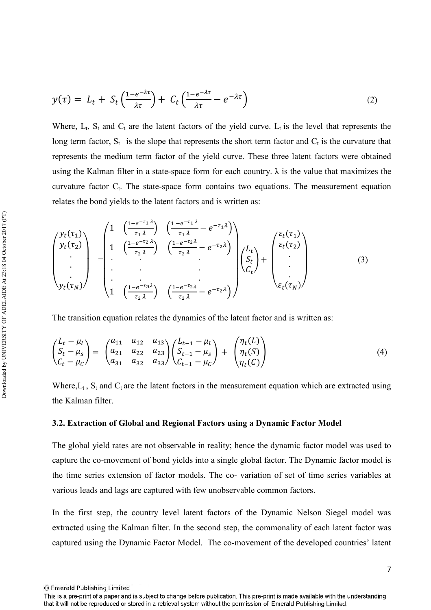$$
y(\tau) = L_t + S_t \left( \frac{1 - e^{-\lambda \tau}}{\lambda \tau} \right) + C_t \left( \frac{1 - e^{-\lambda \tau}}{\lambda \tau} - e^{-\lambda \tau} \right) \tag{2}
$$

Where,  $L_t$ ,  $S_t$  and  $C_t$  are the latent factors of the yield curve.  $L_t$  is the level that represents the long term factor,  $S_t$  is the slope that represents the short term factor and  $C_t$  is the curvature that represents the medium term factor of the yield curve. These three latent factors were obtained using the Kalman filter in a state-space form for each country.  $\lambda$  is the value that maximizes the curvature factor  $C_t$ . The state-space form contains two equations. The measurement equation relates the bond yields to the latent factors and is written as:

$$
\begin{pmatrix}\ny_t(\tau_1) \\
y_t(\tau_2) \\
\vdots \\
y_t(\tau_N)\n\end{pmatrix} = \begin{pmatrix}\n1 & \left(\frac{1-e^{-\tau_1\lambda}}{\tau_1\lambda}\right) & \left(\frac{1-e^{-\tau_1\lambda}}{\tau_1\lambda} - e^{-\tau_1\lambda}\right) \\
1 & \left(\frac{1-e^{-\tau_2\lambda}}{\tau_2\lambda}\right) & \left(\frac{1-e^{-\tau_2\lambda}}{\tau_2\lambda} - e^{-\tau_2\lambda}\right) \\
\vdots & \vdots & \ddots \\
1 & \left(\frac{1-e^{-\tau_n\lambda}}{\tau_2\lambda}\right) & \left(\frac{1-e^{-\tau_2\lambda}}{\tau_2\lambda} - e^{-\tau_2\lambda}\right)\n\end{pmatrix}\n\begin{pmatrix}\nu_t \\
s_t \\
\vdots \\
c_t(\tau_N)\n\end{pmatrix} + \begin{pmatrix}\n\varepsilon_t(\tau_1) \\
\varepsilon_t(\tau_2) \\
\vdots \\
\varepsilon_t(\tau_N)\n\end{pmatrix}
$$
\n(3)

The transition equation relates the dynamics of the latent factor and is written as:

$$
\begin{pmatrix} L_t - \mu_l \\ S_t - \mu_s \\ C_t - \mu_c \end{pmatrix} = \begin{pmatrix} a_{11} & a_{12} & a_{13} \\ a_{21} & a_{22} & a_{23} \\ a_{31} & a_{32} & a_{33} \end{pmatrix} \begin{pmatrix} L_{t-1} - \mu_l \\ S_{t-1} - \mu_s \\ C_{t-1} - \mu_c \end{pmatrix} + \begin{pmatrix} \eta_t(L) \\ \eta_t(S) \\ \eta_t(C) \end{pmatrix}
$$
(4)

Where,  $L_t$ ,  $S_t$  and  $C_t$  are the latent factors in the measurement equation which are extracted using the Kalman filter.

# **3.2. Extraction of Global and Regional Factors using a Dynamic Factor Model**

The global yield rates are not observable in reality; hence the dynamic factor model was used to capture the co-movement of bond yields into a single global factor. The Dynamic factor model is the time series extension of factor models. The co-variation of set of time series variables at various leads and lags are captured with few unobservable common factors.

In the first step, the country level latent factors of the Dynamic Nelson Siegel model was extracted using the Kalman filter. In the second step, the commonality of each latent factor was captured using the Dynamic Factor Model. The co-movement of the developed countries' latent

This is a pre-print of a paper and is subject to change before publication. This pre-print is made available with the understanding that it will not be reproduced or stored in a retrieval system without the permission of Emerald Publishing Limited.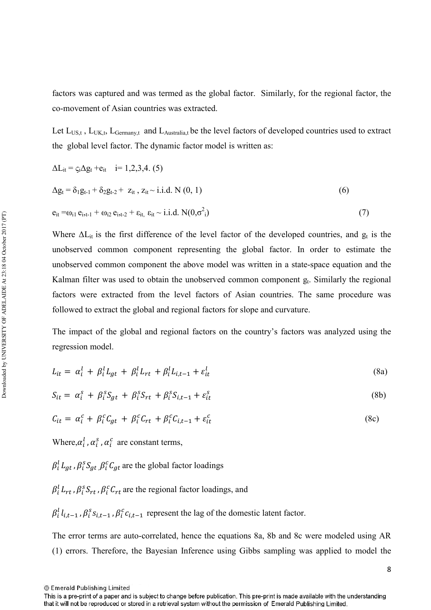factors was captured and was termed as the global factor. Similarly, for the regional factor, the co-movement of Asian countries was extracted.

Let  $L_{US,t}$ ,  $L_{UK,t}$ ,  $L_{Germany,t}$  and  $L_{Australia,t}$  be the level factors of developed countries used to extract the global level factor. The dynamic factor model is written as:

$$
\Delta L_{it} = \zeta_i \Delta g_t + e_{it} \quad i = 1,2,3,4. (5)
$$
  
\n
$$
\Delta g_t = \delta_1 g_{t-1} + \delta_2 g_{t-2} + z_{it}, z_{it} \sim i.i.d. N(0, 1)
$$
  
\n
$$
e_{it} = \omega_{i1} e_{i,t-1} + \omega_{i2} e_{i,t-2} + \varepsilon_{it}, \varepsilon_{it} \sim i.i.d. N(0, \sigma^2_{i})
$$
\n(7)

Where  $\Delta L_{it}$  is the first difference of the level factor of the developed countries, and  $g_t$  is the unobserved common component representing the global factor. In order to estimate the unobserved common component the above model was written in a state-space equation and the Kalman filter was used to obtain the unobserved common component  $g_t$ . Similarly the regional factors were extracted from the level factors of Asian countries. The same procedure was followed to extract the global and regional factors for slope and curvature.

The impact of the global and regional factors on the country's factors was analyzed using the regression model.

$$
L_{it} = \alpha_i^l + \beta_i^l L_{gt} + \beta_i^l L_{rt} + \beta_i^l L_{i,t-1} + \varepsilon_{it}^l
$$
\n(8a)

$$
S_{it} = \alpha_i^s + \beta_i^s S_{gt} + \beta_i^s S_{rt} + \beta_i^s S_{i,t-1} + \varepsilon_{it}^s
$$
 (8b)

$$
C_{it} = \alpha_i^c + \beta_i^c C_{gt} + \beta_i^c C_{rt} + \beta_i^c C_{i,t-1} + \varepsilon_{it}^c
$$
\n(8c)

Where, $\alpha_i^l$ ,  $\alpha_i^s$ ,  $\alpha_i^c$  are constant terms,

 $\beta_i^l L_{gt}$ ,  $\beta_i^s S_{gt}$ ,  $\beta_i^c C_{gt}$  are the global factor loadings

 $\beta_i^l L_{rt}$ ,  $\beta_i^s S_{rt}$ ,  $\beta_i^c C_{rt}$  are the regional factor loadings, and

 $\beta_i^l l_{i,t-1}, \beta_i^s s_{i,t-1}, \beta_i^c c_{i,t-1}$  represent the lag of the domestic latent factor.

The error terms are auto-correlated, hence the equations 8a, 8b and 8c were modeled using AR (1) errors. Therefore, the Bayesian Inference using Gibbs sampling was applied to model the

<sup>©</sup> Emerald Publishing Limited

This is a pre-print of a paper and is subject to change before publication. This pre-print is made available with the understanding that it will not be reproduced or stored in a retrieval system without the permission of Emerald Publishing Limited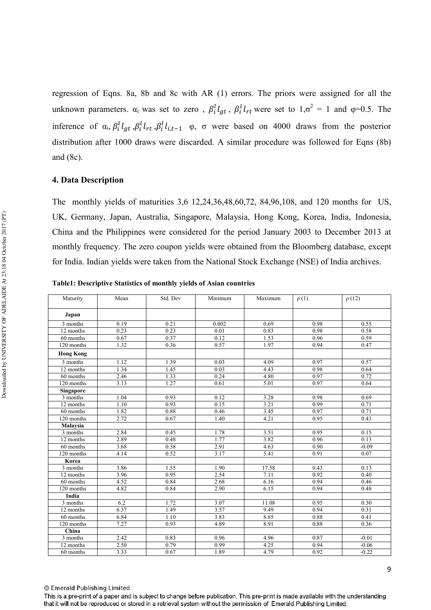regression of Eqns. 8a, 8b and 8c with AR (1) errors. The priors were assigned for all the unknown parameters.  $\alpha_i$  was set to zero,  $\beta_i^l l_{gt}$ ,  $\beta_i^l l_{rt}$  were set to  $1, \sigma^2 = 1$  and  $\varphi = 0.5$ . The inference of  $\alpha_i$ ,  $\beta_i^l l_{gt}$ ,  $\beta_i^l l_{rt}$ ,  $\beta_i^l l_{i,t-1}$   $\varphi$ ,  $\sigma$  were based on 4000 draws from the posterior distribution after 1000 draws were discarded. A similar procedure was followed for Eqns (8b) and (8c).

# **4. Data Description**

The monthly yields of maturities 3,6 12,24,36,48,60,72, 84,96,108, and 120 months for US, UK, Germany, Japan, Australia, Singapore, Malaysia, Hong Kong, Korea, India, Indonesia, China and the Philippines were considered for the period January 2003 to December 2013 at monthly frequency. The zero coupon yields were obtained from the Bloomberg database, except for India. Indian yields were taken from the National Stock Exchange (NSE) of India archives.

| Maturity         | Mean | Std. Dev | Minimum | Maximum           | $\rho(1)$ | $\rho(\overline{12})$ |
|------------------|------|----------|---------|-------------------|-----------|-----------------------|
| Japan            |      |          |         |                   |           |                       |
| 3 months         | 0.19 | 0.21     | 0.002   | 0.69              | 0.98      | 0.55                  |
| 12 months        | 0.23 | 0.23     | 0.01    | 0.83              | 0.98      | 0.58                  |
| 60 months        | 0.67 | 0.37     | 0.12    | 1.53              | 0.96      | 0.59                  |
| 120 months       | 1.32 | 0.36     | 0.57    | 1.97              | 0.94      | 0.47                  |
| <b>Hong Kong</b> |      |          |         |                   |           |                       |
| 3 months         | 1.12 | 1.39     | 0.03    | 4.09              | 0.97      | 0.57                  |
| 12 months        | 1.34 | 1.45     | 0.03    | 4.43              | 0.98      | 0.64                  |
| 60 months        | 2.46 | 1.33     | 0.24    | 4.80              | 0.97      | 0.72                  |
| 120 months       | 3.13 | 1.27     | 0.61    | 5.01              | 0.97      | 0.64                  |
| Singapore        |      |          |         |                   |           |                       |
| 3 months         | 1.04 | 0.93     | 0.12    | 3.28              | 0.98      | 0.69                  |
| 12 months        | 1.10 | 0.93     | 0.15    | 3.21              | 0.99      | 0.71                  |
| 60 months        | 1.82 | 0.88     | 0.46    | 3.45              | 0.97      | 0.71                  |
| 120 months       | 2.72 | 0.67     | 1.40    | 4.21              | 0.95      | 0.43                  |
| Malaysia         |      |          |         |                   |           |                       |
| 3 months         | 2.84 | 0.45     | 1.78    | 3.51              | 0.95      | 0.15                  |
| 12 months        | 2.89 | 0.48     | 1.77    | 3.82              | 0.96      | 0.13                  |
| 60 months        | 3.68 | 0.38     | 2.91    | 4.63              | 0.90      | $-0.09$               |
| 120 months       | 4.14 | 0.52     | 3.17    | $\overline{5.41}$ | 0.91      | 0.07                  |
| Korea            |      |          |         |                   |           |                       |
| 3 months         | 3.86 | 1.55     | 1.90    | 17.58             | 0.43      | 0.13                  |
| 12 months        | 3.96 | 0.95     | 2.54    | 7.11              | 0.92      | 0.40                  |
| 60 months        | 4.52 | 0.84     | 2.68    | 6.16              | 0.94      | 0.46                  |
| 120 months       | 4.82 | 0.84     | 2.90    | 6.15              | 0.94      | 0.48                  |
| India            |      |          |         |                   |           |                       |
| 3 months         | 6.2  | 1.72     | 3.07    | 11.08             | 0.95      | 0.30                  |
| 12 months        | 6.37 | 1.49     | 3.57    | 9.49              | 0.94      | 0.31                  |
| 60 months        | 6.84 | 1.10     | 3.83    | 8.85              | 0.88      | 0.41                  |
| 120 months       | 7.27 | 0.93     | 4.89    | 8.91              | 0.88      | 0.36                  |
| China            |      |          |         |                   |           |                       |
| 3 months         | 2.42 | 0.83     | 0.96    | 4.96              | 0.87      | $-0.01$               |
| 12 months        | 2.50 | 0.79     | 0.99    | 4.25              | 0.94      | $-0.06$               |
| 60 months        | 3.33 | 0.67     | 1.89    | 4.79              | 0.92      | $-0.22$               |

**Table1: Descriptive Statistics of monthly yields of Asian countries**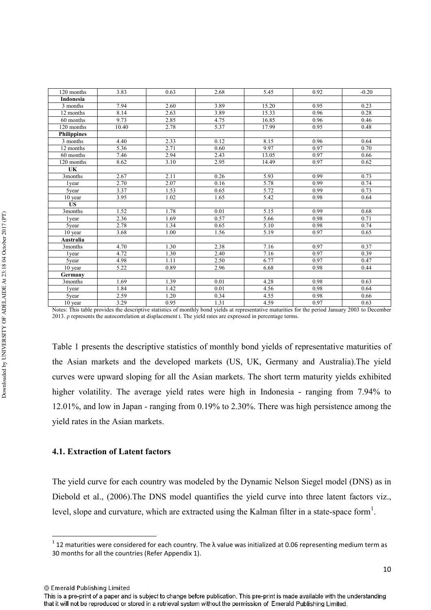| 120 months         | 3.83  | 0.63 | 2.68 | 5.45  | 0.92 | $-0.20$ |
|--------------------|-------|------|------|-------|------|---------|
| Indonesia          |       |      |      |       |      |         |
| 3 months           | 7.94  | 2.60 | 3.89 | 15.20 | 0.95 | 0.23    |
| 12 months          | 8.14  | 2.63 | 3.89 | 15.33 | 0.96 | 0.28    |
| 60 months          | 9.73  | 2.85 | 4.75 | 16.85 | 0.96 | 0.46    |
| 120 months         | 10.40 | 2.78 | 5.37 | 17.99 | 0.95 | 0.48    |
| <b>Philippines</b> |       |      |      |       |      |         |
| 3 months           | 4.40  | 2.33 | 0.12 | 8.15  | 0.96 | 0.64    |
| 12 months          | 5.36  | 2.71 | 0.60 | 9.97  | 0.97 | 0.70    |
| 60 months          | 7.46  | 2.94 | 2.43 | 13.05 | 0.97 | 0.66    |
| 120 months         | 8.62  | 3.10 | 2.95 | 14.49 | 0.97 | 0.62    |
| UK                 |       |      |      |       |      |         |
| 3months            | 2.67  | 2.11 | 0.26 | 5.93  | 0.99 | 0.73    |
| 1 year             | 2.70  | 2.07 | 0.16 | 5.78  | 0.99 | 0.74    |
| 5 year             | 3.37  | 1.53 | 0.65 | 5.72  | 0.99 | 0.73    |
| 10 year            | 3.95  | 1.02 | 1.65 | 5.42  | 0.98 | 0.64    |
| <b>US</b>          |       |      |      |       |      |         |
| 3months            | 1.52  | 1.78 | 0.01 | 5.15  | 0.99 | 0.68    |
| 1 year             | 2.36  | 1.69 | 0.57 | 5.66  | 0.98 | 0.71    |
| 5year              | 2.78  | 1.34 | 0.65 | 5.10  | 0.98 | 0.74    |
| 10 year            | 3.68  | 1.00 | 1.56 | 5.19  | 0.97 | 0.65    |
| Australia          |       |      |      |       |      |         |
| 3months            | 4.70  | 1.30 | 2.38 | 7.16  | 0.97 | 0.37    |
| 1 year             | 4.72  | 1.30 | 2.40 | 7.16  | 0.97 | 0.39    |
| 5year              | 4.98  | 1.11 | 2.50 | 6.77  | 0.97 | 0.47    |
| 10 year            | 5.22  | 0.89 | 2.96 | 6.68  | 0.98 | 0.44    |
| Germany            |       |      |      |       |      |         |
| 3months            | 1.69  | 1.39 | 0.01 | 4.28  | 0.98 | 0.63    |
| 1 year             | 1.84  | 1.42 | 0.01 | 4.56  | 0.98 | 0.64    |
| 5year              | 2.59  | 1.20 | 0.34 | 4.55  | 0.98 | 0.66    |
| 10 year            | 3.29  | 0.95 | 1.31 | 4.59  | 0.97 | 0.63    |
|                    |       |      |      |       |      |         |

Notes: This table provides the descriptive statistics of monthly bond yields at representative maturities for the period January 2003 to December 2013. ρ represents the autocorrelation at displacement t. The yield rates are expressed in percentage terms.

Table 1 presents the descriptive statistics of monthly bond yields of representative maturities of the Asian markets and the developed markets (US, UK, Germany and Australia).The yield curves were upward sloping for all the Asian markets. The short term maturity yields exhibited higher volatility. The average yield rates were high in Indonesia - ranging from 7.94% to 12.01%, and low in Japan ranging from 0.19% to 2.30%. There was high persistence among the yield rates in the Asian markets.

# **4.1. Extraction of Latent factors**

The yield curve for each country was modeled by the Dynamic Nelson Siegel model (DNS) as in Diebold et al., (2006).The DNS model quantifies the yield curve into three latent factors viz., level, slope and curvature, which are extracted using the Kalman filter in a state-space form<sup>1</sup>.

© Emerald Publishing Limited

 $\overline{a}$ 

<sup>&</sup>lt;sup>1</sup> 12 maturities were considered for each country. The λ value was initialized at 0.06 representing medium term as 30 months for all the countries (Refer Appendix 1).

This is a pre-print of a paper and is subject to change before publication. This pre-print is made available with the understanding that it will not be reproduced or stored in a retrieval system without the permission of Emerald Publishing Limited.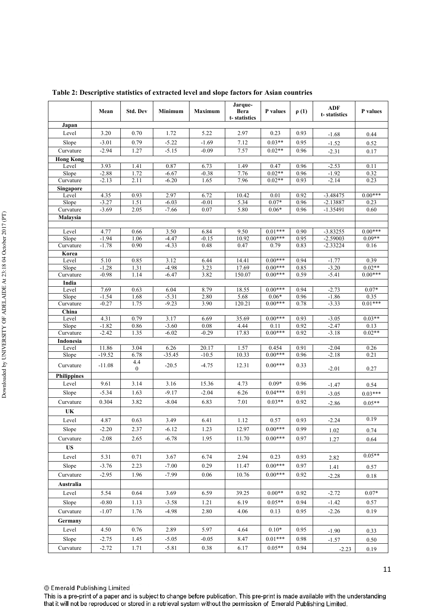|                    | Mean            | <b>Std. Dev</b>  | Minimum            | Maximum         | Jarque-<br>Bera | P values               | $\rho(1)$    | <b>ADF</b>         | P values         |
|--------------------|-----------------|------------------|--------------------|-----------------|-----------------|------------------------|--------------|--------------------|------------------|
|                    |                 |                  |                    |                 | t-statistics    |                        |              | t-statistics       |                  |
| Japan              |                 |                  |                    |                 |                 |                        |              |                    |                  |
| Level              | 3.20            | 0.70             | 1.72               | 5.22            | 2.97            | 0.23                   | 0.93         | $-1.68$            | 0.44             |
| Slope              | $-3.01$         | 0.79             | $-5.22$            | $-1.69$         | 7.12            | $0.03**$               | 0.95         | $-1.52$            | 0.52             |
| Curvature          | $-2.94$         | 1.27             | $-5.15$            | $-0.09$         | 7.57            | $0.02**$               | 0.96         | $-2.31$            | 0.17             |
| <b>Hong Kong</b>   |                 |                  |                    |                 |                 |                        |              |                    |                  |
| Level              | 3.93            | 1.41             | 0.87               | 6.73            | 1.49            | 0.47                   | 0.96         | $-2.53$            | 0.11             |
| Slope              | $-2.88$         | 1.72             | $-6.67$            | $-0.38$         | 7.76            | $0.02**$               | 0.96         | $-1.92$            | 0.32             |
| Curvature          | $-2.13$         | 2.11             | $-6.20$            | 1.65            | 7.96            | $0.02**$               | 0.93         | $-2.14$            | 0.23             |
| Singapore          |                 |                  |                    |                 |                 |                        |              | $-3.48475$         | $0.00***$        |
| Level<br>Slope     | 4.35<br>$-3.27$ | 0.93<br>1.51     | 2.97<br>$-6.03$    | 6.72<br>$-0.01$ | 10.42<br>5.34   | 0.01<br>$0.07*$        | 0.92<br>0.96 | $-2.13887$         | 0.23             |
| Curvature          | $-3.69$         | 2.05             | $-7.66$            | 0.07            | 5.80            | $0.06*$                | 0.96         | $-1.35491$         | 0.60             |
| Malaysia           |                 |                  |                    |                 |                 |                        |              |                    |                  |
|                    |                 |                  |                    |                 |                 |                        |              |                    |                  |
| Level              | 4.77            | 0.66             | 3.50               | 6.84            | 9.50            | $0.01***$              | 0.90         | $-3.83255$         | $0.00***$        |
| Slope              | $-1.94$         | 1.06             | $-4.47$            | $-0.15$         | 10.92           | $0.00***$              | 0.95         | $-2.59003$         | $0.09**$         |
| Curvature          | $-1.78$         | 0.90             | $-4.33$            | 0.48            | 0.47            | 0.79                   | 0.83         | $-2.33224$         | 0.16             |
| Korea              |                 |                  |                    |                 |                 |                        |              |                    |                  |
| Level<br>Slope     | 5.10<br>$-1.28$ | 0.85<br>1.31     | 3.12<br>$-4.98$    | 6.44<br>3.23    | 14.41<br>17.69  | $0.00***$<br>$0.00***$ | 0.94<br>0.85 | $-1.77$<br>$-3.20$ | 0.39<br>$0.02**$ |
| Curvature          | $-0.98$         | 1.14             | $-6.47$            | 3.82            | 150.07          | $0.00***$              | 0.59         | $-5.41$            | $0.00***$        |
| India              |                 |                  |                    |                 |                 |                        |              |                    |                  |
| Level              | 7.69            | 0.63             | 6.04               | 8.79            | 18.55           | $0.00***$              | 0.94         | $-2.73$            | $0.07*$          |
| Slope              | $-1.54$         | 1.68             | $-5.31$            | 2.80            | 5.68            | $0.06*$                | 0.96         | $-1.86$            | 0.35             |
| Curvature          | $-0.27$         | 1.75             | $-9.23$            | 3.90            | 120.21          | $0.00***$              | 0.78         | $-3.33$            | $0.01***$        |
| China              |                 |                  |                    |                 |                 |                        |              |                    |                  |
| Level              | 4.31            | 0.79             | 3.17               | 6.69            | 35.69           | $0.00***$              | 0.93         | $-3.05$            | $0.03**$         |
| Slope              | $-1.82$         | 0.86             | $-3.60$<br>$-6.02$ | 0.08<br>$-0.29$ | 4.44<br>17.83   | 0.11<br>$0.00***$      | 0.92<br>0.92 | $-2.47$<br>$-3.18$ | 0.13<br>$0.02**$ |
| Curvature          | $-2.42$         | 1.35             |                    |                 |                 |                        |              |                    |                  |
| Indonesia<br>Level | 11.86           | 3.04             | 6.26               | 20.17           | 1.57            | 0.454                  | 0.91         | $-2.04$            | 0.26             |
| Slope              | $-19.52$        | 6.78             | $-35.45$           | $-10.5$         | 10.33           | $0.00***$              | 0.96         | $-2.18$            | 0.21             |
| Curvature          | $-11.08$        | 4.4              | $-20.5$            | $-4.75$         | 12.31           | $0.00***$              | 0.33         |                    |                  |
|                    |                 | $\boldsymbol{0}$ |                    |                 |                 |                        |              | $-2.01$            | 0.27             |
| <b>Philippines</b> |                 |                  |                    |                 |                 |                        |              |                    |                  |
| Level              | 9.61            | 3.14             | 3.16               | 15.36           | 4.73            | $0.09*$                | 0.96         | $-1.47$            | 0.54             |
| Slope              | $-5.34$         | 1.63             | $-9.17$            | $-2.04$         | 6.26            | $0.04***$              | 0.91         | $-3.05$            | $0.03***$        |
| Curvature          | 0.304           | 3.82             | $-8.04$            | 6.83            | 7.01            | $0.03**$               | 0.92         | $-2.86$            | $0.05**$         |
| UK                 |                 |                  |                    |                 |                 |                        |              |                    |                  |
| Level              | 4.87            | 0.63             | 3.49               | 6.41            | 1.12            | 0.57                   | 0.93         | $-2.24$            | 0.19             |
| Slope              | $-2.20$         | 2.37             | $-6.12$            | 1.23            | 12.97           | $0.00***$              | 0.99         |                    |                  |
|                    |                 | 2.65             | $-6.78$            |                 | 11.70           | $0.00***$              | 0.97         | 1.02               | 0.74             |
| Curvature          | $-2.08$         |                  |                    | 1.95            |                 |                        |              | 1.27               | 0.64             |
| <b>US</b>          |                 |                  |                    |                 |                 |                        |              |                    |                  |
| Level              | 5.31            | 0.71             | 3.67               | 6.74            | 2.94            | 0.23                   | 0.93         | 2.82               | $0.05**$         |
| Slope              | $-3.76$         | 2.23             | $-7.00$            | 0.29            | 11.47           | $0.00***$              | 0.97         | 1.41               | 0.57             |
| Curvature          | $-2.95$         | 1.96             | $-7.99$            | 0.06            | 10.76           | $0.00***$              | 0.92         | $-2.28$            | 0.18             |
| Australia          |                 |                  |                    |                 |                 |                        |              |                    |                  |
| Level              | 5.54            | 0.64             | 3.69               | 6.59            | 39.25           | $0.00**$               | 0.92         | $-2.72$            | $0.07*$          |
| Slope              | $-0.80$         | 1.13             | $-3.58$            | 1.21            | 6.19            | $0.05**$               | 0.94         | $-1.42$            | 0.57             |
| Curvature          | $-1.07$         | 1.76             | -4.98              | 2.80            | 4.06            | 0.13                   | 0.95         | $-2.26$            | 0.19             |
|                    |                 |                  |                    |                 |                 |                        |              |                    |                  |
| Germany            |                 |                  |                    |                 |                 |                        |              |                    |                  |
| Level              | 4.50            | 0.76             | 2.89               | 5.97            | 4.64            | $0.10*$                | 0.95         | $-1.90$            | 0.33             |
| Slope              | $-2.75$         | 1.45             | $-5.05$            | $-0.05$         | 8.47            | $0.01***$              | 0.98         | $-1.57$            | 0.50             |
| Curvature          | $-2.72$         | 1.71             | $-5.81$            | 0.38            | 6.17            | $0.05**$               | 0.94         | $-2.23$            | 0.19             |

**Table 2: Descriptive statistics of extracted level and slope factors for Asian countries**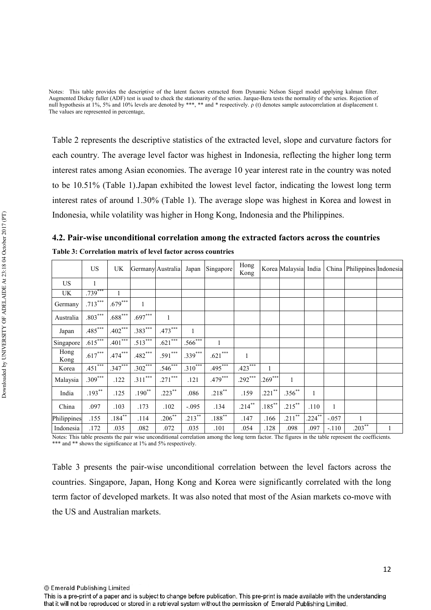Notes: This table provides the descriptive of the latent factors extracted from Dynamic Nelson Siegel model applying kalman filter. Augmented Dickey fuller (ADF) test is used to check the stationarity of the series. Jarque-Bera tests the normality of the series. Rejection of null hypothesis at 1%, 5% and 10% levels are denoted by \*\*\*, \*\* and \* respectively.  $ρ(t)$  denotes sample autocorrelation at displacement t. The values are represented in percentage,

Table 2 represents the descriptive statistics of the extracted level, slope and curvature factors for each country. The average level factor was highest in Indonesia, reflecting the higher long term interest rates among Asian economies. The average 10 year interest rate in the country was noted to be 10.51% (Table 1).Japan exhibited the lowest level factor, indicating the lowest long term interest rates of around 1.30% (Table 1). The average slope was highest in Korea and lowest in Indonesia, while volatility was higher in Hong Kong, Indonesia and the Philippines.

|              | <b>US</b>    | UK        |              | Germany Australia | Japan        | Singapore | Hong<br>Kong |           | Korea Malaysia India |           |              | China Philippines Indonesia |              |
|--------------|--------------|-----------|--------------|-------------------|--------------|-----------|--------------|-----------|----------------------|-----------|--------------|-----------------------------|--------------|
| <b>US</b>    | $\mathbf{1}$ |           |              |                   |              |           |              |           |                      |           |              |                             |              |
| UK.          | $.739***$    | 1         |              |                   |              |           |              |           |                      |           |              |                             |              |
| Germany      | $.713***$    | $.679***$ | $\mathbf{1}$ |                   |              |           |              |           |                      |           |              |                             |              |
| Australia    | $.803***$    | $.688***$ | $.697***$    | 1                 |              |           |              |           |                      |           |              |                             |              |
| Japan        | $.485***$    | $.402***$ | $.383***$    | $.473***$         | $\mathbf{1}$ |           |              |           |                      |           |              |                             |              |
| Singapore    | $.615***$    | $.401***$ | $.513***$    | $621$ ***         | $.566***$    | 1         |              |           |                      |           |              |                             |              |
| Hong<br>Kong | $.617***$    | $.474***$ | $.482***$    | $.591***$         | $.339***$    | $.621***$ | $\mathbf{1}$ |           |                      |           |              |                             |              |
| Korea        | $.451***$    | $.347***$ | $.302***$    | $.546***$         | $.310***$    | $.495***$ | $.423***$    | 1         |                      |           |              |                             |              |
| Malaysia     | $.309***$    | .122      | $.311***$    | $.271***$         | .121         | $.479***$ | $.292***$    | $.269***$ | $\mathbf{1}$         |           |              |                             |              |
| India        | $.193***$    | .125      | $.190**$     | $.223***$         | .086         | $.218***$ | .159         | $.221$ ** | $.356***$            | 1         |              |                             |              |
| China        | .097         | .103      | .173         | .102              | $-.095$      | .134      | $.214***$    | $.185***$ | $.215***$            | .110      | $\mathbf{1}$ |                             |              |
| Philippines  | .155         | $.184***$ | .114         | $.206***$         | $.213***$    | $.188***$ | .147         | .166      | $.211***$            | $.224***$ | $-.057$      | 1                           |              |
| Indonesia    | .172         | .035      | .082         | .072              | .035         | .101      | .054         | .128      | .098                 | .097      | $-.110$      | $.203***$                   | $\mathbf{1}$ |

**4.2. Pair-wise unconditional correlation among the extracted factors across the countries Table 3: Correlation matrix of level factor across countries** 

Notes: This table presents the pair wise unconditional correlation among the long term factor. The figures in the table represent the coefficients. \*\*\* and \*\* shows the significance at 1% and 5% respectively.

Table 3 presents the pair-wise unconditional correlation between the level factors across the countries. Singapore, Japan, Hong Kong and Korea were significantly correlated with the long term factor of developed markets. It was also noted that most of the Asian markets co-move with the US and Australian markets.

This is a pre-print of a paper and is subject to change before publication. This pre-print is made available with the understanding that it will not be reproduced or stored in a retrieval system without the permission of Emerald Publishing Limited.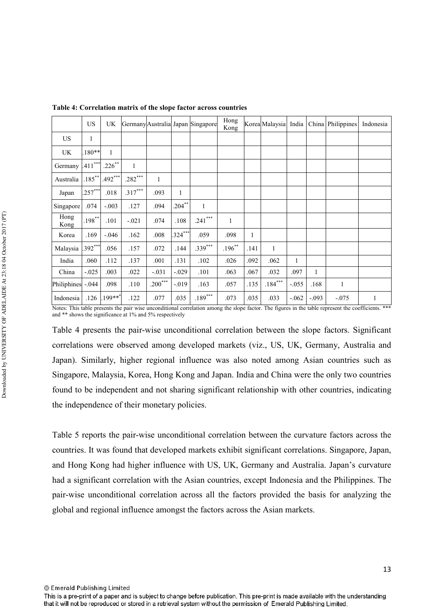|              | <b>US</b> | UK           |           |              |              | Germany Australia Japan Singapore | Hong<br>Kong |              | Korea Malaysia | India   |         | China Philippines | Indonesia |
|--------------|-----------|--------------|-----------|--------------|--------------|-----------------------------------|--------------|--------------|----------------|---------|---------|-------------------|-----------|
| <b>US</b>    | 1         |              |           |              |              |                                   |              |              |                |         |         |                   |           |
| UK           | $.180**$  | $\mathbf{1}$ |           |              |              |                                   |              |              |                |         |         |                   |           |
| Germany      | $411***$  | $.226***$    | 1         |              |              |                                   |              |              |                |         |         |                   |           |
| Australia    | $.185***$ | $.492***$    | $.282***$ | $\mathbf{1}$ |              |                                   |              |              |                |         |         |                   |           |
| Japan        | $.257***$ | .018         | $.317***$ | .093         | $\mathbf{1}$ |                                   |              |              |                |         |         |                   |           |
| Singapore    | .074      | $-.003$      | .127      | .094         | $.204***$    | $\mathbf{1}$                      |              |              |                |         |         |                   |           |
| Hong<br>Kong | $.198***$ | .101         | $-.021$   | .074         | .108         | $.241***$                         | $\mathbf{1}$ |              |                |         |         |                   |           |
| Korea        | .169      | $-.046$      | .162      | .008         | $.324***$    | .059                              | .098         | $\mathbf{1}$ |                |         |         |                   |           |
| Malaysia     | $.392***$ | .056         | .157      | .072         | .144         | $.339***$                         | $.196***$    | .141         | $\mathbf{1}$   |         |         |                   |           |
| India        | .060      | .112         | .137      | .001         | .131         | .102                              | .026         | .092         | .062           | 1       |         |                   |           |
| China        | $-.025$   | .003         | .022      | $-.031$      | $-.029$      | .101                              | .063         | .067         | .032           | .097    | 1       |                   |           |
| Philiphines  | $-.044$   | .098         | .110      | $.200***$    | $-0.019$     | .163                              | .057         | .135         | $.184***$      | $-.055$ | .168    | 1                 |           |
| Indonesia    | .126      | $.199***$    | .122      | .077         | .035         | $.189***$                         | .073         | .035         | .033           | $-.062$ | $-.093$ | $-.075$           | 1         |

**Table 4: Correlation matrix of the slope factor across countries** 

Notes: This table presents the pair wise unconditional correlation among the slope factor. The figures in the table represent the coefficients. \*\*\* and \*\* shows the significance at 1% and 5% respectively

Table 4 presents the pair-wise unconditional correlation between the slope factors. Significant correlations were observed among developed markets (viz., US, UK, Germany, Australia and Japan). Similarly, higher regional influence was also noted among Asian countries such as Singapore, Malaysia, Korea, Hong Kong and Japan. India and China were the only two countries found to be independent and not sharing significant relationship with other countries, indicating the independence of their monetary policies.

Table 5 reports the pair-wise unconditional correlation between the curvature factors across the countries. It was found that developed markets exhibit significant correlations. Singapore, Japan, and Hong Kong had higher influence with US, UK, Germany and Australia. Japan's curvature had a significant correlation with the Asian countries, except Indonesia and the Philippines. The pair-wise unconditional correlation across all the factors provided the basis for analyzing the global and regional influence amongst the factors across the Asian markets.

Downloaded by UNIVERSITY OF ADELAIDE At 23:18 04 October 2017 (PT) Downloaded by UNIVERSITY OF ADELAIDE At 23:18 04 October 2017 (PT)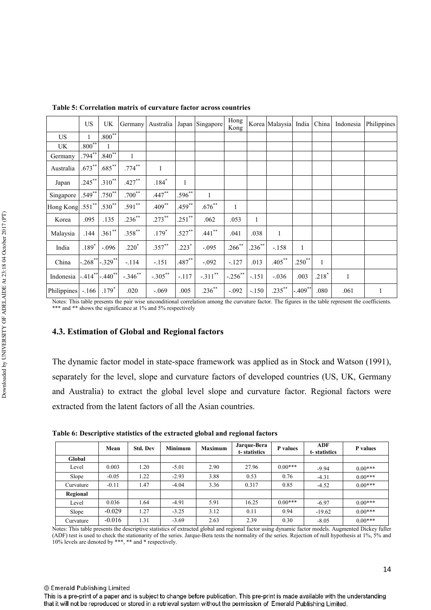|             | <b>US</b>    | UK                      | Germany     | Australia    |              | Japan Singapore | Hong<br>Kong |           | Korea Malaysia | India        | China   | Indonesia    | Philippines |
|-------------|--------------|-------------------------|-------------|--------------|--------------|-----------------|--------------|-----------|----------------|--------------|---------|--------------|-------------|
| <b>US</b>   | $\mathbf{1}$ | $.800**$                |             |              |              |                 |              |           |                |              |         |              |             |
| UK          | $.800***$    |                         |             |              |              |                 |              |           |                |              |         |              |             |
| Germany     | $.794***$    | $.840**$                | 1           |              |              |                 |              |           |                |              |         |              |             |
| Australia   | $.673***$    | $.685***$               | $.774***$   | $\mathbf{1}$ |              |                 |              |           |                |              |         |              |             |
| Japan       | $.245***$    | $.310***$               | $.427***$   | $.184*$      | $\mathbf{1}$ |                 |              |           |                |              |         |              |             |
| Singapore   | $.549**$     | $.750^{**}$             | $.700^{**}$ | $.447***$    | $.596***$    |                 |              |           |                |              |         |              |             |
| Hong Kong   | $.551$ **    | $.530***$               | $.591**$    | $.409***$    | $.459***$    | $.676***$       | 1            |           |                |              |         |              |             |
| Korea       | .095         | .135                    | $.236***$   | $.273***$    | $251***$     | .062            | .053         | 1         |                |              |         |              |             |
| Malaysia    | .144         | $.361**$                | $.358***$   | $.179*$      | $.527***$    | $.441***$       | .041         | .038      | $\mathbf{1}$   |              |         |              |             |
| India       | $.189*$      | $-.096$                 | $.220*$     | $.357***$    | $.223*$      | $-.095$         | $.266***$    | $.236***$ | $-.158$        | $\mathbf{1}$ |         |              |             |
| China       |              | $-.268^{**}-.329^{**}$  | $-.114$     | $-.151$      | $.487**$     | $-.092$         | $-127$       | .013      | $.405***$      | $.250**$     | 1       |              |             |
| Indonesia   |              | $-414^{**}$ $-440^{**}$ | $-.346***$  | $-.305***$   | $-.117$      | $-.311$ **      | $-.256$ **   | $-.151$   | $-.036$        | .003         | $.218*$ | $\mathbf{1}$ |             |
| Philippines | $-166$       | $.179*$                 | .020        | $-.069$      | .005         | $.236***$       | $-.092$      | $-.150$   | $.235***$      | $-.409**$    | .080    | .061         | 1           |

**Table 5: Correlation matrix of curvature factor across countries** 

Notes: This table presents the pair wise unconditional correlation among the curvature factor. The figures in the table represent the coefficients. \*\*\* and \*\* shows the significance at 1% and 5% respectively

# **4.3. Estimation of Global and Regional factors**

The dynamic factor model in state-space framework was applied as in Stock and Watson (1991), separately for the level, slope and curvature factors of developed countries (US, UK, Germany and Australia) to extract the global level slope and curvature factor. Regional factors were extracted from the latent factors of all the Asian countries.

**Table 6: Descriptive statistics of the extracted global and regional factors** 

|           | Mean     | <b>Std. Dev</b> | <b>Minimum</b> | <b>Maximum</b> | Jarque-Bera<br>t-statistics | <b>P</b> values | ADF<br>t-statistics | P values  |
|-----------|----------|-----------------|----------------|----------------|-----------------------------|-----------------|---------------------|-----------|
| Global    |          |                 |                |                |                             |                 |                     |           |
| Level     | 0.003    | 1.20            | $-5.01$        | 2.90           | 27.96                       | $0.00***$       | $-9.94$             | $0.00***$ |
| Slope     | $-0.05$  | 1.22            | $-2.93$        | 3.88           | 0.53                        | 0.76            | $-4.31$             | $0.00***$ |
| Curvature | $-0.11$  | 1.47            | $-4.04$        | 3.36           | 0.317                       | 0.85            | $-4.52$             | $0.00***$ |
| Regional  |          |                 |                |                |                             |                 |                     |           |
| Level     | 0.036    | 1.64            | $-4.91$        | 5.91           | 16.25                       | $0.00***$       | $-6.97$             | $0.00***$ |
| Slope     | $-0.029$ | 1.27            | $-3.25$        | 3.12           | 0.11                        | 0.94            | $-19.62$            | $0.00***$ |
| Curvature | $-0.016$ | 1.31            | $-3.69$        | 2.63           | 2.39                        | 0.30            | $-8.05$             | $0.00***$ |

Notes: This table presents the descriptive statistics of extracted global and regional factor using dynamic factor models. Augmented Dickey fuller (ADF) test is used to check the stationarity of the series. Jarque-Bera tests the normality of the series. Rejection of null hypothesis at  $1\%$ , 5% and 10% levels are denoted by \*\*\*, \*\* and \* respectively.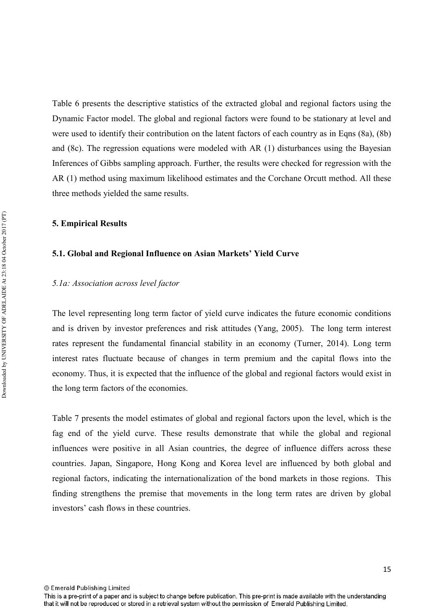Table 6 presents the descriptive statistics of the extracted global and regional factors using the Dynamic Factor model. The global and regional factors were found to be stationary at level and were used to identify their contribution on the latent factors of each country as in Eqns (8a), (8b) and (8c). The regression equations were modeled with AR (1) disturbances using the Bayesian Inferences of Gibbs sampling approach. Further, the results were checked for regression with the AR (1) method using maximum likelihood estimates and the Corchane Orcutt method. All these three methods yielded the same results.

#### **5. Empirical Results**

# **5.1. Global and Regional Influence on Asian Markets' Yield Curve**

# 5.1a: Association across level factor

The level representing long term factor of yield curve indicates the future economic conditions and is driven by investor preferences and risk attitudes (Yang, 2005). The long term interest rates represent the fundamental financial stability in an economy (Turner, 2014). Long term interest rates fluctuate because of changes in term premium and the capital flows into the economy. Thus, it is expected that the influence of the global and regional factors would exist in the long term factors of the economies.

Table 7 presents the model estimates of global and regional factors upon the level, which is the fag end of the yield curve. These results demonstrate that while the global and regional influences were positive in all Asian countries, the degree of influence differs across these countries. Japan, Singapore, Hong Kong and Korea level are influenced by both global and regional factors, indicating the internationalization of the bond markets in those regions. This finding strengthens the premise that movements in the long term rates are driven by global investors' cash flows in these countries.

This is a pre-print of a paper and is subject to change before publication. This pre-print is made available with the understanding that it will not be reproduced or stored in a retrieval system without the permission of Emerald Publishing Limited.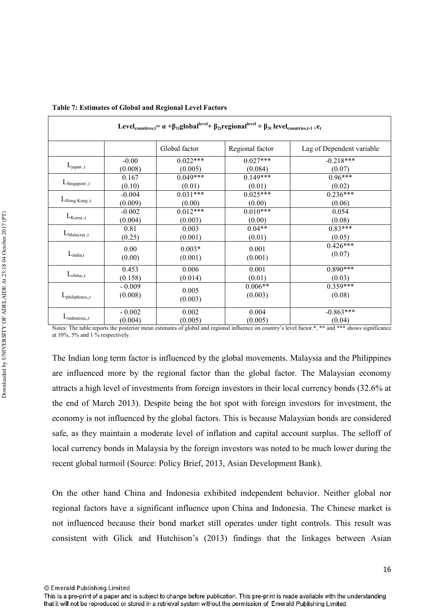|                            |          |               | Level <sub>countires,t</sub> = $\alpha$ + $\beta$ <sub>1t</sub> global <sup>level</sup> + $\beta$ <sub>2t</sub> regional <sup>level</sup> + $\beta$ <sub>3t</sub> level <sub>countries,t-1</sub> + $e$ <sub>t</sub> |                           |
|----------------------------|----------|---------------|---------------------------------------------------------------------------------------------------------------------------------------------------------------------------------------------------------------------|---------------------------|
|                            |          | Global factor | Regional factor                                                                                                                                                                                                     | Lag of Dependent variable |
| $L_{japan, t}$             | $-0.00$  | $0.022***$    | $0.027***$                                                                                                                                                                                                          | $-0.218***$               |
|                            | (0.008)  | (0.005)       | (0.084)                                                                                                                                                                                                             | (0.07)                    |
| $L_{\text{Singapore},t}$   | 0.167    | $0.049***$    | $0.149***$                                                                                                                                                                                                          | $0.96***$                 |
|                            | (0.10)   | (0.01)        | (0.01)                                                                                                                                                                                                              | (0.02)                    |
| $L_{\text{Hong Kong},t}$   | $-0.004$ | $0.031***$    | $0.025***$                                                                                                                                                                                                          | $0.236***$                |
|                            | (0.009)  | (0.00)        | (0.00)                                                                                                                                                                                                              | (0.06)                    |
| $L_{Korea, t}$             | $-0.002$ | $0.012***$    | $0.010***$                                                                                                                                                                                                          | 0.054                     |
|                            | (0.004)  | (0.003)       | (0.00)                                                                                                                                                                                                              | (0.08)                    |
| $L_{\text{Malaysia},t}$    | 0.81     | 0.003         | $0.04**$                                                                                                                                                                                                            | $0.83***$                 |
|                            | (0.25)   | (0.001)       | (0.01)                                                                                                                                                                                                              | (0.05)                    |
| $L_{india,t}$              | 0.00     | $0.003*$      | 0.001                                                                                                                                                                                                               | $0.426***$                |
|                            | (0.00)   | (0.001)       | (0.001)                                                                                                                                                                                                             | (0.07)                    |
| $L_{\text{china},t}$       | 0.453    | 0.006         | 0.001                                                                                                                                                                                                               | $0.890***$                |
|                            | (0.158)  | (0.014)       | (0.01)                                                                                                                                                                                                              | (0.03)                    |
| $L_{\text{philiphines},t}$ | $-0.009$ | 0.005         | $0.006**$                                                                                                                                                                                                           | $0.359***$                |
|                            | (0.008)  | (0.003)       | (0.003)                                                                                                                                                                                                             | (0.08)                    |
| $L_{indonesia, t}$         | $-0.002$ | 0.002         | 0.004                                                                                                                                                                                                               | $-0.863***$               |
|                            | (0.004)  | (0.005)       | (0.005)                                                                                                                                                                                                             | (0.04)                    |

**Table 7: Estimates of Global and Regional Level Factors** 

Notes: The table reports the posterior mean estimates of global and regional influence on country's level factor.\*, \*\* and \*\*\* shows significance at 10%, 5% and 1 % respectively.

The Indian long term factor is influenced by the global movements. Malaysia and the Philippines are influenced more by the regional factor than the global factor. The Malaysian economy attracts a high level of investments from foreign investors in their local currency bonds (32.6% at the end of March 2013). Despite being the hot spot with foreign investors for investment, the economy is not influenced by the global factors. This is because Malaysian bonds are considered safe, as they maintain a moderate level of inflation and capital account surplus. The selloff of local currency bonds in Malaysia by the foreign investors was noted to be much lower during the recent global turmoil (Source: Policy Brief, 2013, Asian Development Bank).

On the other hand China and Indonesia exhibited independent behavior. Neither global nor regional factors have a significant influence upon China and Indonesia. The Chinese market is not influenced because their bond market still operates under tight controls. This result was consistent with Glick and Hutchison's (2013) findings that the linkages between Asian

This is a pre-print of a paper and is subject to change before publication. This pre-print is made available with the understanding that it will not be reproduced or stored in a retrieval system without the permission of Emerald Publishing Limited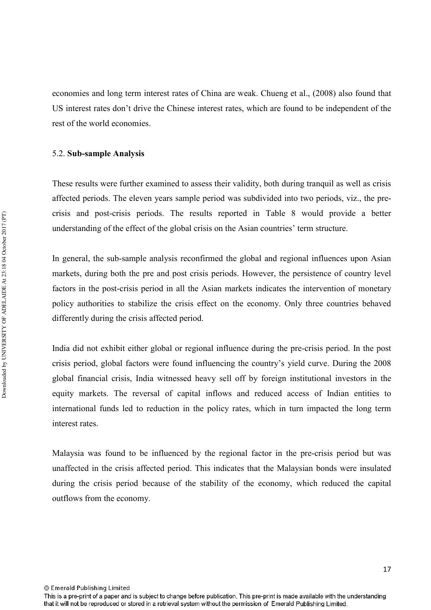economies and long term interest rates of China are weak. Chueng et al., (2008) also found that US interest rates don't drive the Chinese interest rates, which are found to be independent of the rest of the world economies.

# 5.2. **Sub-sample Analysis**

These results were further examined to assess their validity, both during tranquil as well as crisis affected periods. The eleven years sample period was subdivided into two periods, viz., the pre crisis and post-crisis periods. The results reported in Table 8 would provide a better understanding of the effect of the global crisis on the Asian countries' term structure.

In general, the sub-sample analysis reconfirmed the global and regional influences upon Asian markets, during both the pre and post crisis periods. However, the persistence of country level factors in the post-crisis period in all the Asian markets indicates the intervention of monetary policy authorities to stabilize the crisis effect on the economy. Only three countries behaved differently during the crisis affected period.

India did not exhibit either global or regional influence during the precrisis period. In the post crisis period, global factors were found influencing the country's yield curve. During the 2008 global financial crisis, India witnessed heavy sell off by foreign institutional investors in the equity markets. The reversal of capital inflows and reduced access of Indian entities to international funds led to reduction in the policy rates, which in turn impacted the long term interest rates.

Malaysia was found to be influenced by the regional factor in the pre-crisis period but was unaffected in the crisis affected period. This indicates that the Malaysian bonds were insulated during the crisis period because of the stability of the economy, which reduced the capital outflows from the economy.

© Emerald Publishing Limited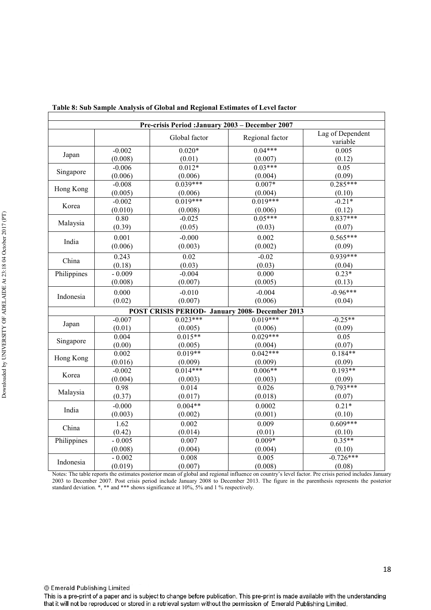|             |          | Pre-crisis Period : January 2003 - December 2007 |                                                        |                              |
|-------------|----------|--------------------------------------------------|--------------------------------------------------------|------------------------------|
|             |          | Global factor                                    | Regional factor                                        | Lag of Dependent<br>variable |
|             | $-0.002$ | $0.020*$                                         | $0.04***$                                              | 0.005                        |
| Japan       | (0.008)  | (0.01)                                           | (0.007)                                                | (0.12)                       |
| Singapore   | $-0.006$ | $0.012*$                                         | $0.03***$                                              | 0.05                         |
|             | (0.006)  | (0.006)                                          | (0.004)                                                | (0.09)                       |
|             | $-0.008$ | $0.039***$                                       | $0.007*$                                               | $0.285***$                   |
| Hong Kong   | (0.005)  | (0.006)                                          | (0.004)                                                | (0.10)                       |
| Korea       | $-0.002$ | $0.019***$                                       | $0.019***$                                             | $-0.21*$                     |
|             | (0.010)  | (0.008)                                          | (0.006)                                                | (0.12)                       |
|             | 0.80     | $-0.025$                                         | $0.05***$                                              | $0.837***$                   |
| Malaysia    | (0.39)   | (0.05)                                           | (0.03)                                                 | (0.07)                       |
|             | 0.001    | $-0.000$                                         | 0.002                                                  | $0.565***$                   |
| India       | (0.006)  | (0.003)                                          | (0.002)                                                | (0.09)                       |
| China       | 0.243    | 0.02                                             | $-0.02$                                                | $0.939***$                   |
|             | (0.18)   | (0.03)                                           | (0.03)                                                 | (0.04)                       |
| Philippines | $-0.009$ | $-0.004$                                         | 0.000                                                  | $0.23*$                      |
|             | (0.008)  | (0.007)                                          | (0.005)                                                | (0.13)                       |
| Indonesia   | 0.000    | $-0.010$                                         | $-0.004$                                               | $-0.96***$                   |
|             | (0.02)   | (0.007)                                          | (0.006)                                                | (0.04)                       |
|             |          |                                                  | <b>POST CRISIS PERIOD- January 2008- December 2013</b> |                              |
|             | $-0.007$ | $0.023***$                                       | $0.019***$                                             | $-0.25**$                    |
| Japan       | (0.01)   | (0.005)                                          | (0.006)                                                | (0.09)                       |
|             | 0.004    | $0.015**$                                        | $0.029***$                                             | 0.05                         |
| Singapore   | (0.00)   | (0.005)                                          | (0.004)                                                | (0.07)                       |
| Hong Kong   | 0.002    | $0.019**$                                        | $0.042***$                                             | $0.184**$                    |
|             | (0.016)  | (0.009)                                          | (0.009)                                                | (0.09)                       |
| Korea       | $-0.002$ | $0.014***$                                       | $0.006**$                                              | $0.193**$                    |
|             | (0.004)  | (0.003)                                          | (0.003)                                                | (0.09)                       |
| Malaysia    | 0.98     | 0.014                                            | 0.026                                                  | $0.793***$                   |
|             | (0.37)   | (0.017)                                          | (0.018)                                                | (0.07)                       |
|             | $-0.000$ | $0.004**$                                        | 0.0002                                                 | $0.21*$                      |
| India       | (0.003)  | (0.002)                                          | (0.001)                                                | (0.10)                       |
|             | 1.62     | 0.002                                            | 0.009                                                  | $0.609***$                   |
| China       | (0.42)   | (0.014)                                          | (0.01)                                                 | (0.10)                       |
| Philippines | $-0.005$ | 0.007                                            | $0.009*$                                               | $0.35**$                     |
|             | (0.008)  | (0.004)                                          | (0.004)                                                | (0.10)                       |
| Indonesia   | $-0.002$ | 0.008                                            | 0.005                                                  | $-0.726***$                  |
|             | (0.019)  | (0.007)                                          | (0.008)                                                | (0.08)                       |

**Table 8: Sub Sample Analysis of Global and Regional Estimates of Level factor** 

Notes: The table reports the estimates posterior mean of global and regional influence on country's level factor. Pre crisis period includes January 2003 to December 2007. Post crisis period include January 2008 to December 2013. The figure in the parenthesis represents the posterior standard deviation. \*, \*\* and \*\*\* shows significance at 10%, 5% and 1 % respectively.

© Emerald Publishing Limited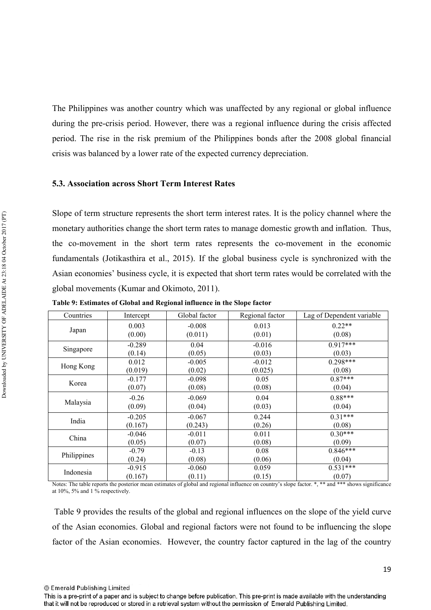The Philippines was another country which was unaffected by any regional or global influence during the pre-crisis period. However, there was a regional influence during the crisis affected period. The rise in the risk premium of the Philippines bonds after the 2008 global financial crisis was balanced by a lower rate of the expected currency depreciation.

# **5.3. Association across Short Term Interest Rates**

Slope of term structure represents the short term interest rates. It is the policy channel where the monetary authorities change the short term rates to manage domestic growth and inflation. Thus, the co-movement in the short term rates represents the co-movement in the economic fundamentals (Jotikasthira et al., 2015). If the global business cycle is synchronized with the Asian economies' business cycle, it is expected that short term rates would be correlated with the global movements (Kumar and Okimoto, 2011).

| Countries   | Intercept | Global factor | Regional factor | Lag of Dependent variable |
|-------------|-----------|---------------|-----------------|---------------------------|
| Japan       | 0.003     | $-0.008$      | 0.013           | $0.22**$                  |
|             | (0.00)    | (0.011)       | (0.01)          | (0.08)                    |
|             | $-0.289$  | 0.04          | $-0.016$        | $0.917***$                |
| Singapore   | (0.14)    | (0.05)        | (0.03)          | (0.03)                    |
| Hong Kong   | 0.012     | $-0.005$      | $-0.012$        | $0.298***$                |
|             | (0.019)   | (0.02)        | (0.025)         | (0.08)                    |
| Korea       | $-0.177$  | $-0.098$      | 0.05            | $0.87***$                 |
|             | (0.07)    | (0.08)        | (0.08)          | (0.04)                    |
|             | $-0.26$   | $-0.069$      | 0.04            | $0.88***$                 |
| Malaysia    | (0.09)    | (0.04)        | (0.03)          | (0.04)                    |
| India       | $-0.205$  | $-0.067$      | 0.244           | $0.31***$                 |
|             | (0.167)   | (0.243)       | (0.26)          | (0.08)                    |
| China       | $-0.046$  | $-0.011$      | 0.011           | $0.30***$                 |
|             | (0.05)    | (0.07)        | (0.08)          | (0.09)                    |
|             | $-0.79$   | $-0.13$       | 0.08            | $0.846***$                |
| Philippines | (0.24)    | (0.08)        | (0.06)          | (0.04)                    |
| Indonesia   | $-0.915$  | $-0.060$      | 0.059           | $0.531**$                 |
|             | (0.167)   | (0.11)        | (0.15)          | (0.07)                    |

**Table 9: Estimates of Global and Regional influence in the Slope factor** 

Notes: The table reports the posterior mean estimates of global and regional influence on country's slope factor. \*, \*\* and \*\*\* shows significance at 10%, 5% and 1 % respectively.

 Table 9 provides the results of the global and regional influences on the slope of the yield curve of the Asian economies. Global and regional factors were not found to be influencing the slope factor of the Asian economies. However, the country factor captured in the lag of the country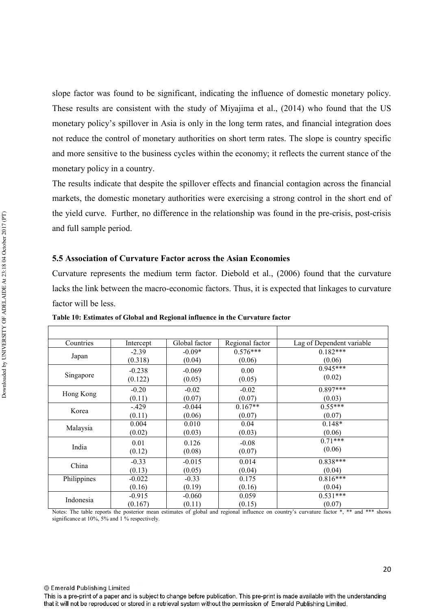slope factor was found to be significant, indicating the influence of domestic monetary policy. These results are consistent with the study of Miyajima et al., (2014) who found that the US monetary policy's spillover in Asia is only in the long term rates, and financial integration does not reduce the control of monetary authorities on short term rates. The slope is country specific and more sensitive to the business cycles within the economy; it reflects the current stance of the monetary policy in a country.

The results indicate that despite the spillover effects and financial contagion across the financial markets, the domestic monetary authorities were exercising a strong control in the short end of the yield curve. Further, no difference in the relationship was found in the pre-crisis, post-crisis and full sample period.

## **5.5 Association of Curvature Factor across the Asian Economies**

Curvature represents the medium term factor. Diebold et al., (2006) found that the curvature lacks the link between the macro-economic factors. Thus, it is expected that linkages to curvature factor will be less.

| Countries   | Intercept | Global factor | Regional factor | Lag of Dependent variable |
|-------------|-----------|---------------|-----------------|---------------------------|
|             | $-2.39$   | $-0.09*$      | $0.576***$      | $0.182***$                |
| Japan       | (0.318)   | (0.04)        | (0.06)          | (0.06)                    |
|             | $-0.238$  | $-0.069$      | 0.00            | $0.945***$                |
| Singapore   | (0.122)   | (0.05)        | (0.05)          | (0.02)                    |
|             | $-0.20$   | $-0.02$       | $-0.02$         | $0.897***$                |
| Hong Kong   | (0.11)    | (0.07)        | (0.07)          | (0.03)                    |
| Korea       | $-429$    | $-0.044$      | $0.167**$       | $0.55***$                 |
|             | (0.11)    | (0.06)        | (0.07)          | (0.07)                    |
| Malaysia    | 0.004     | 0.010         | 0.04            | $0.148*$                  |
|             | (0.02)    | (0.03)        | (0.03)          | (0.06)                    |
|             | 0.01      | 0.126         | $-0.08$         | $0.71***$                 |
| India       | (0.12)    | (0.08)        | (0.07)          | (0.06)                    |
| China       | $-0.33$   | $-0.015$      | 0.014           | $0.838***$                |
|             | (0.13)    | (0.05)        | (0.04)          | (0.04)                    |
| Philippines | $-0.022$  | $-0.33$       | 0.175           | $0.816***$                |
|             | (0.16)    | (0.19)        | (0.16)          | (0.04)                    |
| Indonesia   | $-0.915$  | $-0.060$      | 0.059           | $0.531***$                |
|             | (0.167)   | (0.11)        | (0.15)          | (0.07)                    |

Notes: The table reports the posterior mean estimates of global and regional influence on country's curvature factor \*, \*\* and \*\*\* shows significance at 10%, 5% and 1% respectively.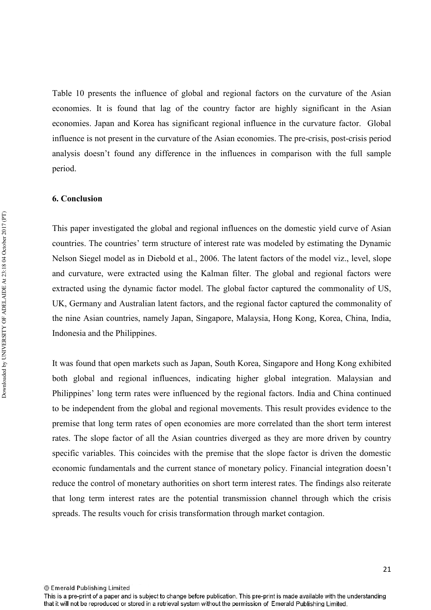Table 10 presents the influence of global and regional factors on the curvature of the Asian economies. It is found that lag of the country factor are highly significant in the Asian economies. Japan and Korea has significant regional influence in the curvature factor. Global influence is not present in the curvature of the Asian economies. The pre-crisis, post-crisis period analysis doesn't found any difference in the influences in comparison with the full sample period.

# **6. Conclusion**

This paper investigated the global and regional influences on the domestic yield curve of Asian countries. The countries' term structure of interest rate was modeled by estimating the Dynamic Nelson Siegel model as in Diebold et al., 2006. The latent factors of the model viz., level, slope and curvature, were extracted using the Kalman filter. The global and regional factors were extracted using the dynamic factor model. The global factor captured the commonality of US, UK, Germany and Australian latent factors, and the regional factor captured the commonality of the nine Asian countries, namely Japan, Singapore, Malaysia, Hong Kong, Korea, China, India, Indonesia and the Philippines.

It was found that open markets such as Japan, South Korea, Singapore and Hong Kong exhibited both global and regional influences, indicating higher global integration. Malaysian and Philippines' long term rates were influenced by the regional factors. India and China continued to be independent from the global and regional movements. This result provides evidence to the premise that long term rates of open economies are more correlated than the short term interest rates. The slope factor of all the Asian countries diverged as they are more driven by country specific variables. This coincides with the premise that the slope factor is driven the domestic economic fundamentals and the current stance of monetary policy. Financial integration doesn't reduce the control of monetary authorities on short term interest rates. The findings also reiterate that long term interest rates are the potential transmission channel through which the crisis spreads. The results vouch for crisis transformation through market contagion.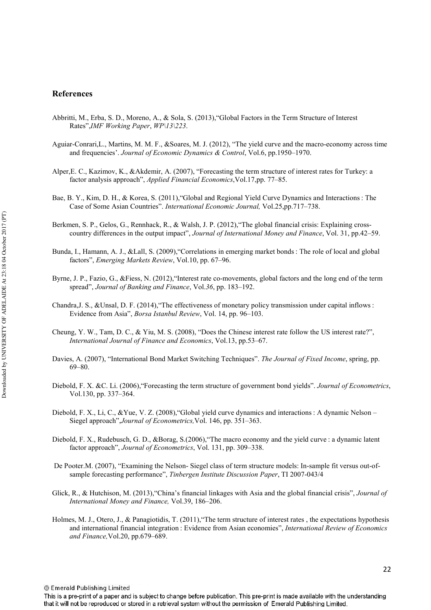#### **References**

- Abbritti, M., Erba, S. D., Moreno, A., & Sola, S. (2013),"Global Factors in the Term Structure of Interest Rates",*IMF Working Paper, WP*\13\223.
- Aguiar-Conrari, L., Martins, M. M. F., &Soares, M. J. (2012), "The yield curve and the macro-economy across time and frequencies'. *Journal of Economic Dynamics & Control*, Vol.6, pp.1950–1970.
- Alper,E. C., Kazimov, K., &Akdemir, A. (2007), "Forecasting the term structure of interest rates for Turkey: a factor analysis approach", *Applied Financial Economics*, Vol.17, pp. 77–85.
- Bae, B. Y., Kim, D. H., & Korea, S. (2011),"Global and Regional Yield Curve Dynamics and Interactions : The Case of Some Asian Countries". *International Economic Journal*, Vol.25,pp.717–738.
- Berkmen, S. P., Gelos, G., Rennhack, R., & Walsh, J. P. (2012),"The global financial crisis: Explaining cross country differences in the output impact", *Journal of International Money and Finance*, Vol. 31, pp.42–59.
- Bunda, I., Hamann, A. J., &Lall, S. (2009),"Correlations in emerging market bonds : The role of local and global factors", *Emerging Markets Review*, Vol.10, pp. 67-96.
- Byrne, J. P., Fazio, G., &Fiess, N. (2012), "Interest rate co-movements, global factors and the long end of the term spread", *Journal of Banking and Finance*, Vol.36, pp. 183–192.
- Chandra,J. S., &Unsal, D. F. (2014),"The effectiveness of monetary policy transmission under capital inflows : Evidence from Asia", *Borsa Istanbul Review*, Vol. 14, pp. 96–103.
- Cheung, Y. W., Tam, D. C., & Yiu, M. S. (2008), "Does the Chinese interest rate follow the US interest rate?", International Journal of Finance and Economics, Vol.13, pp.53–67.
- Davies, A. (2007), "International Bond Market Switching Techniques". *The Journal of Fixed Income*, spring, pp. 69–80.
- Diebold, F. X. &C. Li. (2006), "Forecasting the term structure of government bond yields". *Journal of Econometrics*, Vol.130, pp. 337–364.
- Diebold, F. X., Li, C., &Yue, V. Z. (2008),"Global yield curve dynamics and interactions : A dynamic Nelson Siegel approach", Journal of Econometrics, Vol. 146, pp. 351-363.
- Diebold, F. X., Rudebusch, G. D., &Borag, S.(2006),"The macro economy and the yield curve : a dynamic latent factor approach", *Journal of Econometrics*, Vol. 131, pp. 309-338.
- De Pooter.M. (2007), "Examining the Nelson-Siegel class of term structure models: In-sample fit versus out-ofsample forecasting performance", *Tinbergen Institute Discussion Paper*, TI 2007-043/4
- Glick, R., & Hutchison, M. (2013), "China's financial linkages with Asia and the global financial crisis", *Journal of* International Money and Finance, Vol.39, 186–206.
- Holmes, M. J., Otero, J., & Panagiotidis, T. (2011), "The term structure of interest rates, the expectations hypothesis and international financial integration : Evidence from Asian economies", *International Review of Economics* and Finance, Vol.20, pp.679–689.

© Emerald Publishing Limited

22

This is a pre-print of a paper and is subject to change before publication. This pre-print is made available with the understanding that it will not be reproduced or stored in a retrieval system without the permission of Emerald Publishing Limited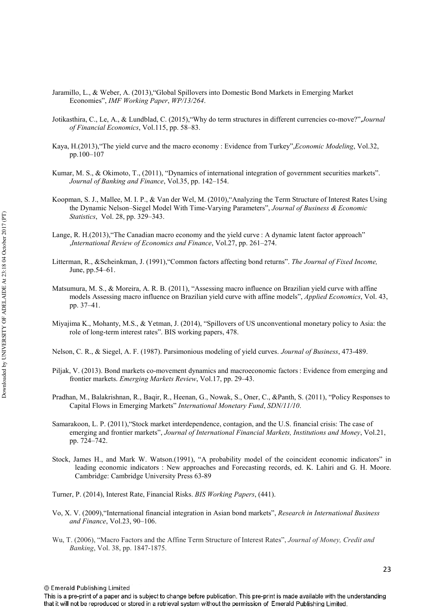- Jaramillo, L., & Weber, A. (2013),"Global Spillovers into Domestic Bond Markets in Emerging Market Economies", *IMF Working Paper*, *WP*/13/264.
- Jotikasthira, C., Le, A., & Lundblad, C. (2015), "Why do term structures in different currencies co-move?", Journal of Financial Economics, Vol.115, pp. 58–83.
- Kaya, H.(2013), "The yield curve and the macro economy : Evidence from Turkey", *Economic Modeling*, Vol.32, pp.100–107
- Kumar, M. S., & Okimoto, T., (2011), "Dynamics of international integration of government securities markets". *Journal of Banking and Finance*, Vol.35, pp. 142–154.
- Koopman, S. J., Mallee, M. I. P., & Van der Wel, M. (2010),"Analyzing the Term Structure of Interest Rates Using the Dynamic Nelson–Siegel Model With Time-Varying Parameters", *Journal of Business & Economic Statistics*, Vol. 28, pp. 329–343.
- Lange, R. H.(2013),"The Canadian macro economy and the yield curve : A dynamic latent factor approach" International Review of Economics and Finance, Vol.27, pp. 261–274.
- Litterman, R., & Scheinkman, J. (1991), "Common factors affecting bond returns". *The Journal of Fixed Income*, June, pp.54–61.
- Matsumura, M. S., & Moreira, A. R. B. (2011), "Assessing macro influence on Brazilian yield curve with affine models Assessing macro influence on Brazilian yield curve with affine models", *Applied Economics*, Vol. 43, pp. 37–41.
- Miyajima K., Mohanty, M.S., & Yetman, J. (2014), "Spillovers of US unconventional monetary policy to Asia: the role of long-term interest rates". BIS working papers, 478.

Nelson, C. R., & Siegel, A. F. (1987). Parsimonious modeling of yield curves. *Journal of Business*, 473-489.

- Piljak, V. (2013). Bond markets co-movement dynamics and macroeconomic factors : Evidence from emerging and frontier markets. *Emerging Markets Review*, Vol.17, pp. 29-43.
- Pradhan, M., Balakrishnan, R., Baqir, R., Heenan, G., Nowak, S., Oner, C., &Panth, S. (2011), "Policy Responses to Capital Flows in Emerging Markets" International Monetary Fund, SDN/11/10.
- Samarakoon, L. P. (2011),"Stock market interdependence, contagion, and the U.S. financial crisis: The case of emerging and frontier markets", Journal of International Financial Markets, Institutions and Money, Vol.21, pp. 724–742.
- Stock, James H., and Mark W. Watson.(1991), "A probability model of the coincident economic indicators" in leading economic indicators : New approaches and Forecasting records, ed. K. Lahiri and G. H. Moore. Cambridge: Cambridge University Press 63-89
- Turner, P. (2014), Interest Rate, Financial Risks. *BIS Working Papers*, (441).
- Vo, X. V. (2009), "International financial integration in Asian bond markets", *Research in International Business* and Finance, Vol.23, 90–106.
- Wu, T. (2006), "Macro Factors and the Affine Term Structure of Interest Rates", *Journal of Money*, Credit and *Banking*, Vol. 38, pp. 1847-1875.

© Emerald Publishing Limited

23

This is a pre-print of a paper and is subject to change before publication. This pre-print is made available with the understanding that it will not be reproduced or stored in a retrieval system without the permission of Emerald Publishing Limited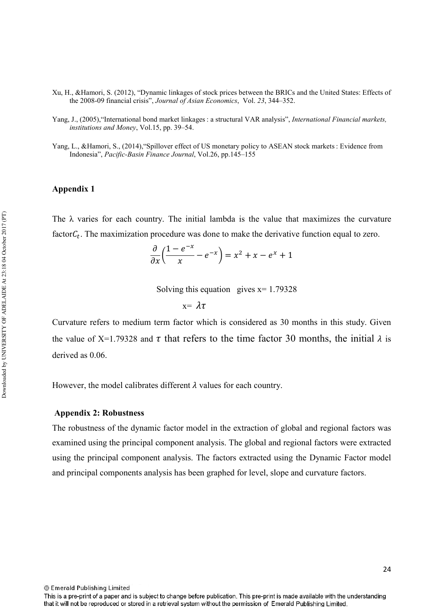- Xu, H., &Hamori, S. (2012), "Dynamic linkages of stock prices between the BRICs and the United States: Effects of the 2008-09 financial crisis", *Journal of Asian Economics*, Vol. 23, 344–352.
- Yang, J., (2005), 'International bond market linkages : a structural VAR analysis", *International Financial markets*, *institutions and Money*, Vol.15, pp. 39–54.
- Yang, L., &Hamori, S., (2014),"Spillover effect of US monetary policy to ASEAN stock markets : Evidence from Indonesia", *Pacific-Basin Finance Journal*, Vol.26, pp.145–155

# **Appendix 1**

The  $\lambda$  varies for each country. The initial lambda is the value that maximizes the curvature factor $C_t$ . The maximization procedure was done to make the derivative function equal to zero.

$$
\frac{\partial}{\partial x} \left( \frac{1 - e^{-x}}{x} - e^{-x} \right) = x^2 + x - e^x + 1
$$

Solving this equation gives  $x=1.79328$ 

 $x = \lambda \tau$ 

Curvature refers to medium term factor which is considered as 30 months in this study. Given the value of X=1.79328 and  $\tau$  that refers to the time factor 30 months, the initial  $\lambda$  is derived as 0.06.

However, the model calibrates different  $\lambda$  values for each country.

### **Appendix 2: Robustness**

The robustness of the dynamic factor model in the extraction of global and regional factors was examined using the principal component analysis. The global and regional factors were extracted using the principal component analysis. The factors extracted using the Dynamic Factor model and principal components analysis has been graphed for level, slope and curvature factors.

This is a pre-print of a paper and is subject to change before publication. This pre-print is made available with the understanding that it will not be reproduced or stored in a retrieval system without the permission of Emerald Publishing Limited.